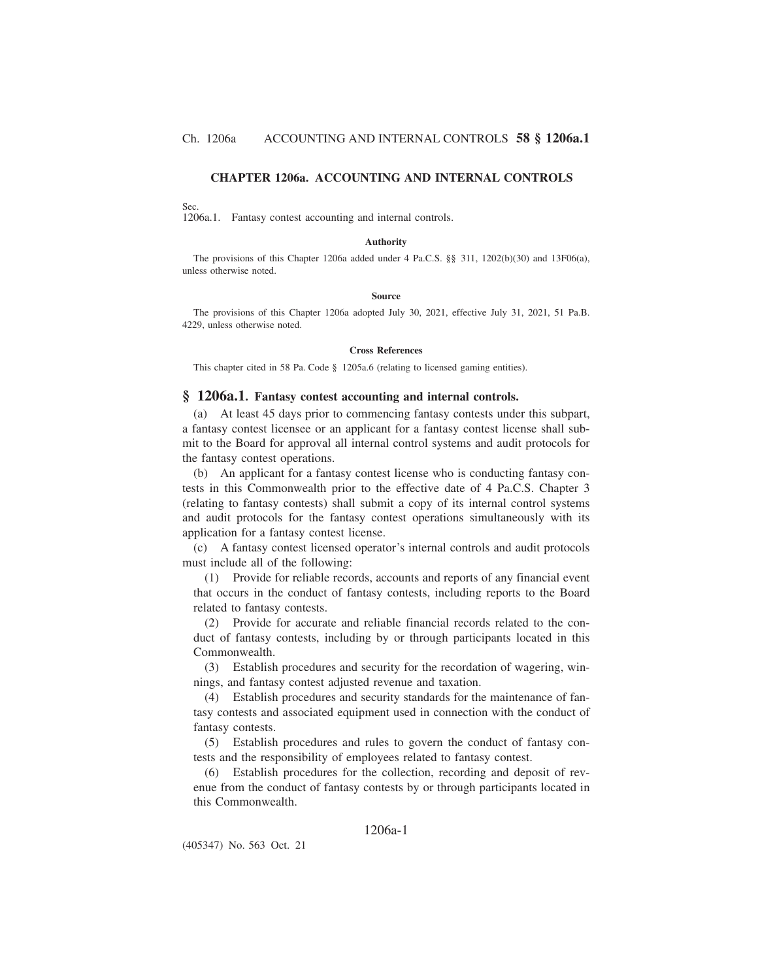# **CHAPTER 1206a. ACCOUNTING AND INTERNAL CONTROLS**

### Sec.

1206a.1. Fantasy contest accounting and internal controls.

#### **Authority**

The provisions of this Chapter 1206a added under 4 Pa.C.S. §§ 311, 1202(b)(30) and 13F06(a), unless otherwise noted.

#### **Source**

The provisions of this Chapter 1206a adopted July 30, 2021, effective July 31, 2021, 51 Pa.B. 4229, unless otherwise noted.

### **Cross References**

This chapter cited in 58 Pa. Code § 1205a.6 (relating to licensed gaming entities).

### **§ 1206a.1. Fantasy contest accounting and internal controls.**

(a) At least 45 days prior to commencing fantasy contests under this subpart, a fantasy contest licensee or an applicant for a fantasy contest license shall submit to the Board for approval all internal control systems and audit protocols for the fantasy contest operations.

(b) An applicant for a fantasy contest license who is conducting fantasy contests in this Commonwealth prior to the effective date of 4 Pa.C.S. Chapter 3 (relating to fantasy contests) shall submit a copy of its internal control systems and audit protocols for the fantasy contest operations simultaneously with its application for a fantasy contest license.

(c) A fantasy contest licensed operator's internal controls and audit protocols must include all of the following:

(1) Provide for reliable records, accounts and reports of any financial event that occurs in the conduct of fantasy contests, including reports to the Board related to fantasy contests.

(2) Provide for accurate and reliable financial records related to the conduct of fantasy contests, including by or through participants located in this Commonwealth.

(3) Establish procedures and security for the recordation of wagering, winnings, and fantasy contest adjusted revenue and taxation.

(4) Establish procedures and security standards for the maintenance of fantasy contests and associated equipment used in connection with the conduct of fantasy contests.

(5) Establish procedures and rules to govern the conduct of fantasy contests and the responsibility of employees related to fantasy contest.

(6) Establish procedures for the collection, recording and deposit of revenue from the conduct of fantasy contests by or through participants located in this Commonwealth.

# 1206a-1

(405347) No. 563 Oct. 21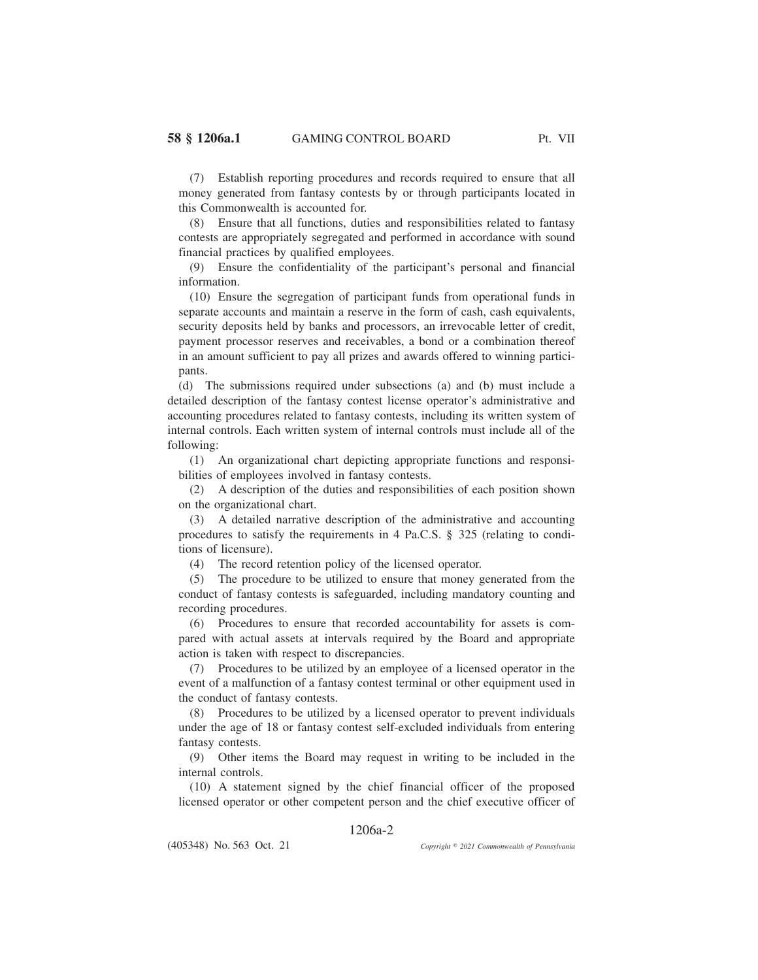(7) Establish reporting procedures and records required to ensure that all money generated from fantasy contests by or through participants located in this Commonwealth is accounted for.

(8) Ensure that all functions, duties and responsibilities related to fantasy contests are appropriately segregated and performed in accordance with sound financial practices by qualified employees.

(9) Ensure the confidentiality of the participant's personal and financial information.

(10) Ensure the segregation of participant funds from operational funds in separate accounts and maintain a reserve in the form of cash, cash equivalents, security deposits held by banks and processors, an irrevocable letter of credit, payment processor reserves and receivables, a bond or a combination thereof in an amount sufficient to pay all prizes and awards offered to winning participants.

(d) The submissions required under subsections (a) and (b) must include a detailed description of the fantasy contest license operator's administrative and accounting procedures related to fantasy contests, including its written system of internal controls. Each written system of internal controls must include all of the following:

(1) An organizational chart depicting appropriate functions and responsibilities of employees involved in fantasy contests.

(2) A description of the duties and responsibilities of each position shown on the organizational chart.

(3) A detailed narrative description of the administrative and accounting procedures to satisfy the requirements in 4 Pa.C.S. § 325 (relating to conditions of licensure).

(4) The record retention policy of the licensed operator.

(5) The procedure to be utilized to ensure that money generated from the conduct of fantasy contests is safeguarded, including mandatory counting and recording procedures.

(6) Procedures to ensure that recorded accountability for assets is compared with actual assets at intervals required by the Board and appropriate action is taken with respect to discrepancies.

(7) Procedures to be utilized by an employee of a licensed operator in the event of a malfunction of a fantasy contest terminal or other equipment used in the conduct of fantasy contests.

(8) Procedures to be utilized by a licensed operator to prevent individuals under the age of 18 or fantasy contest self-excluded individuals from entering fantasy contests.

(9) Other items the Board may request in writing to be included in the internal controls.

(10) A statement signed by the chief financial officer of the proposed licensed operator or other competent person and the chief executive officer of

# 1206a-2

(405348) No. 563 Oct. 21

*2021 Commonwealth of Pennsylvania*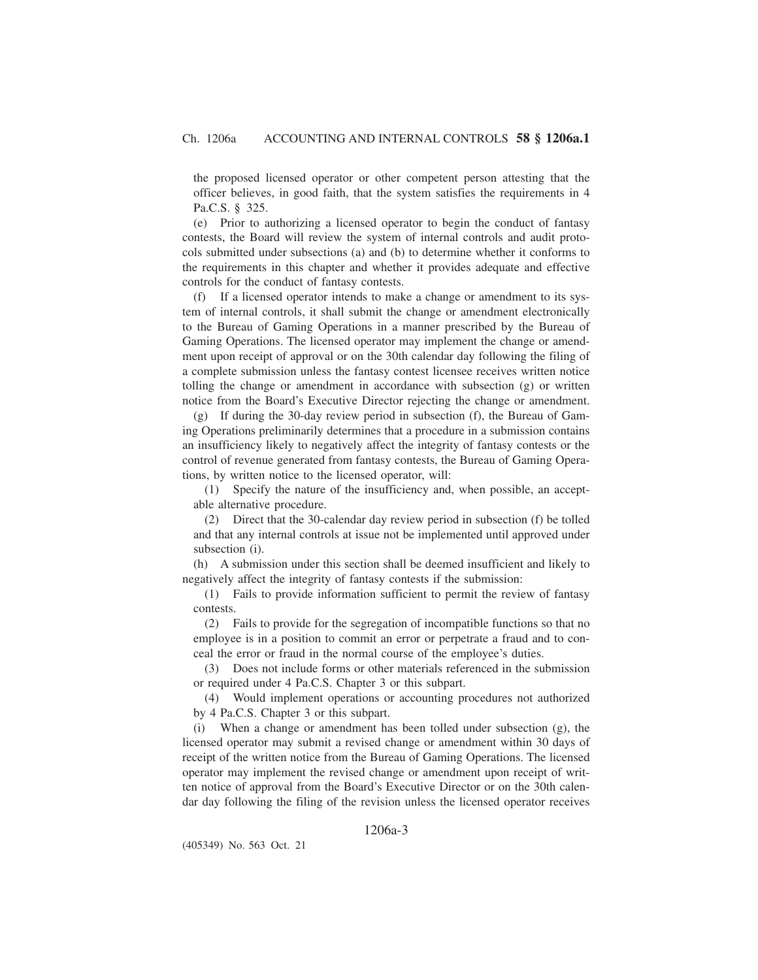the proposed licensed operator or other competent person attesting that the officer believes, in good faith, that the system satisfies the requirements in 4 Pa.C.S. § 325.

(e) Prior to authorizing a licensed operator to begin the conduct of fantasy contests, the Board will review the system of internal controls and audit protocols submitted under subsections (a) and (b) to determine whether it conforms to the requirements in this chapter and whether it provides adequate and effective controls for the conduct of fantasy contests.

(f) If a licensed operator intends to make a change or amendment to its system of internal controls, it shall submit the change or amendment electronically to the Bureau of Gaming Operations in a manner prescribed by the Bureau of Gaming Operations. The licensed operator may implement the change or amendment upon receipt of approval or on the 30th calendar day following the filing of a complete submission unless the fantasy contest licensee receives written notice tolling the change or amendment in accordance with subsection (g) or written notice from the Board's Executive Director rejecting the change or amendment.

(g) If during the 30-day review period in subsection (f), the Bureau of Gaming Operations preliminarily determines that a procedure in a submission contains an insufficiency likely to negatively affect the integrity of fantasy contests or the control of revenue generated from fantasy contests, the Bureau of Gaming Operations, by written notice to the licensed operator, will:

(1) Specify the nature of the insufficiency and, when possible, an acceptable alternative procedure.

(2) Direct that the 30-calendar day review period in subsection (f) be tolled and that any internal controls at issue not be implemented until approved under subsection (i).

(h) A submission under this section shall be deemed insufficient and likely to negatively affect the integrity of fantasy contests if the submission:

(1) Fails to provide information sufficient to permit the review of fantasy contests.

(2) Fails to provide for the segregation of incompatible functions so that no employee is in a position to commit an error or perpetrate a fraud and to conceal the error or fraud in the normal course of the employee's duties.

(3) Does not include forms or other materials referenced in the submission or required under 4 Pa.C.S. Chapter 3 or this subpart.

(4) Would implement operations or accounting procedures not authorized by 4 Pa.C.S. Chapter 3 or this subpart.

(i) When a change or amendment has been tolled under subsection (g), the licensed operator may submit a revised change or amendment within 30 days of receipt of the written notice from the Bureau of Gaming Operations. The licensed operator may implement the revised change or amendment upon receipt of written notice of approval from the Board's Executive Director or on the 30th calendar day following the filing of the revision unless the licensed operator receives

# 1206a-3

(405349) No. 563 Oct. 21